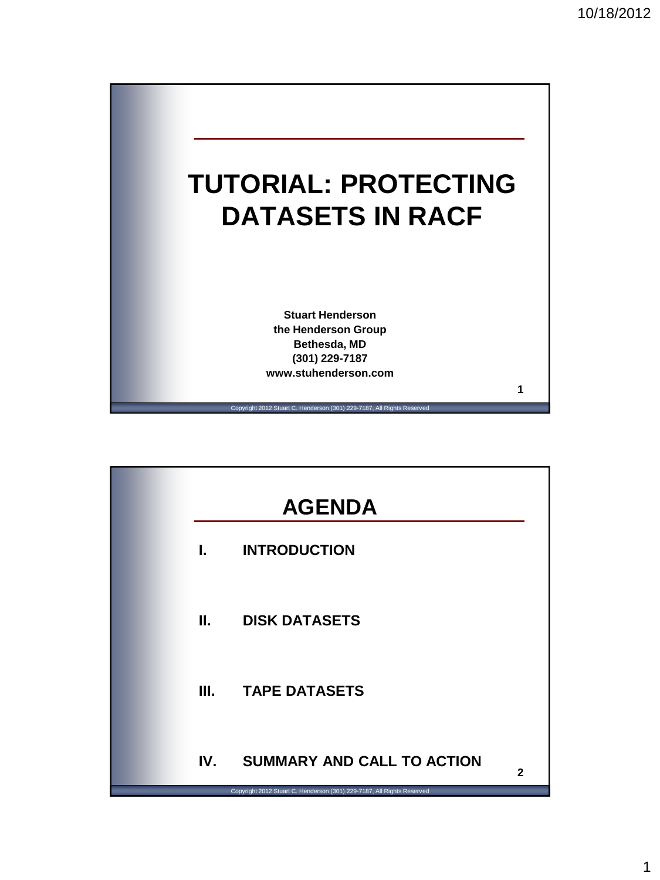

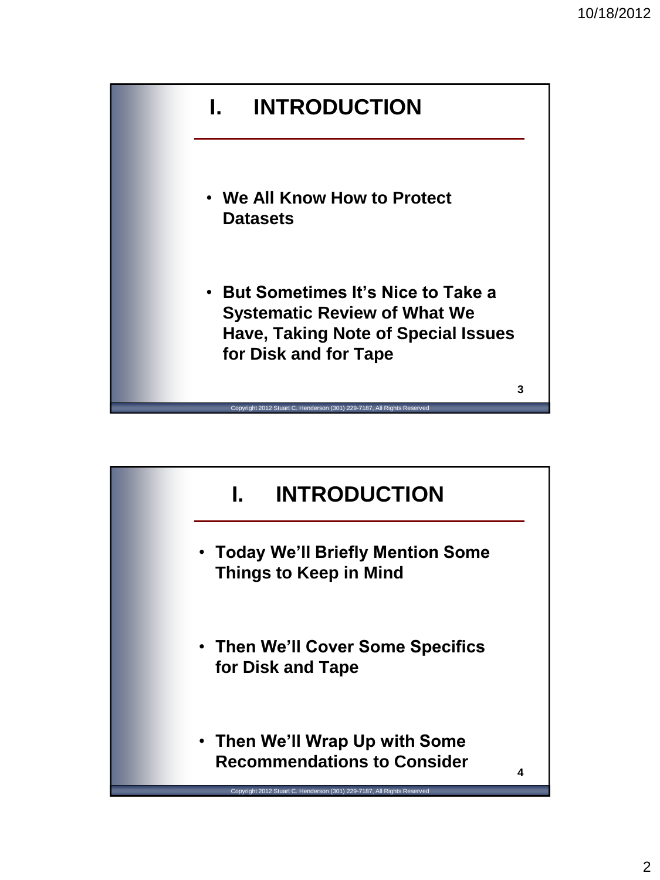

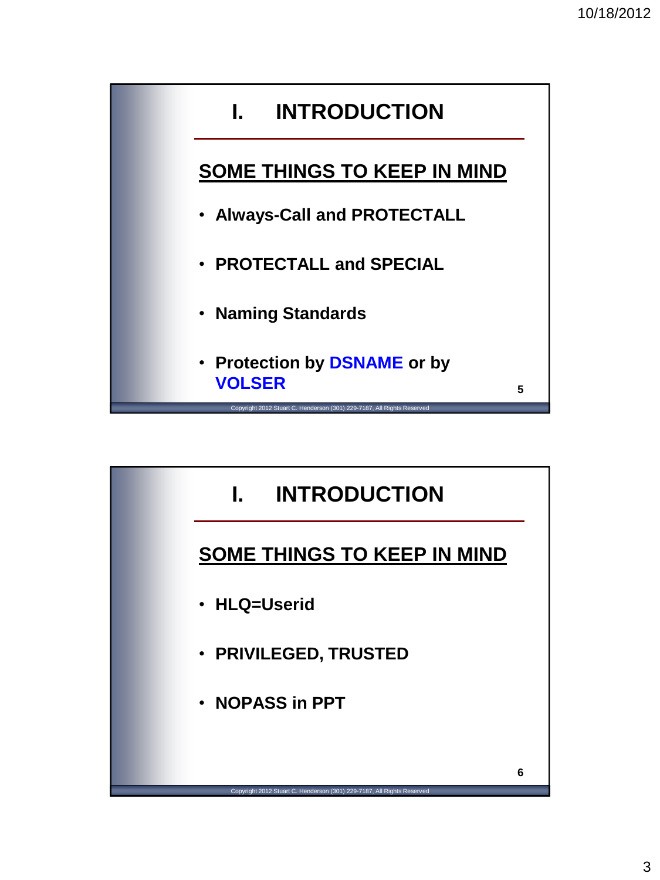

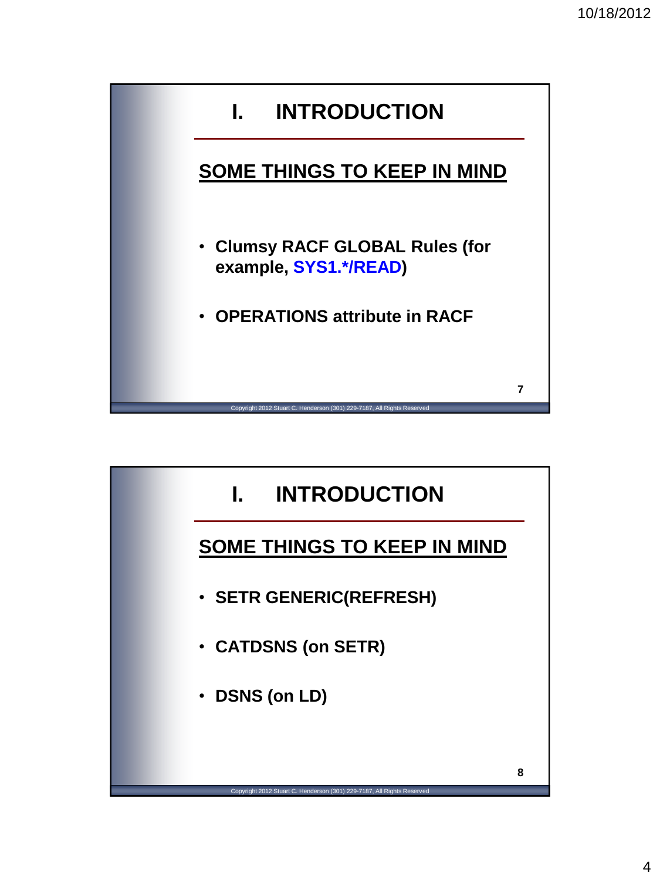

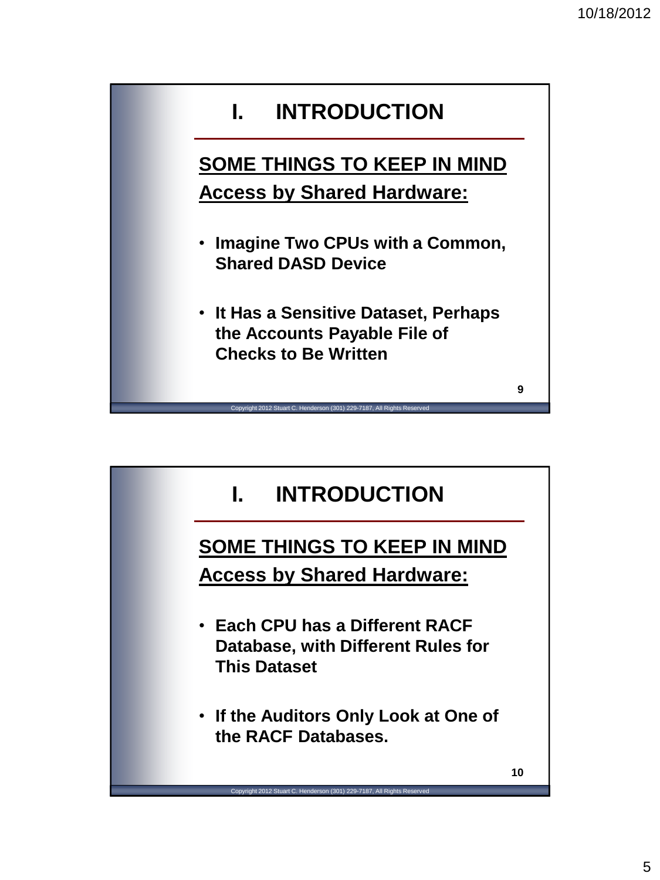

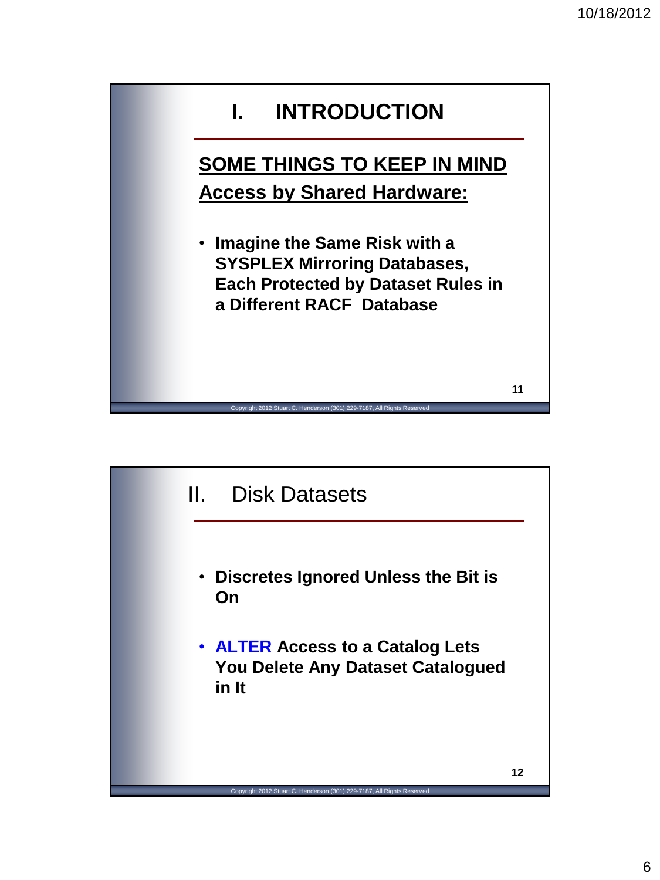

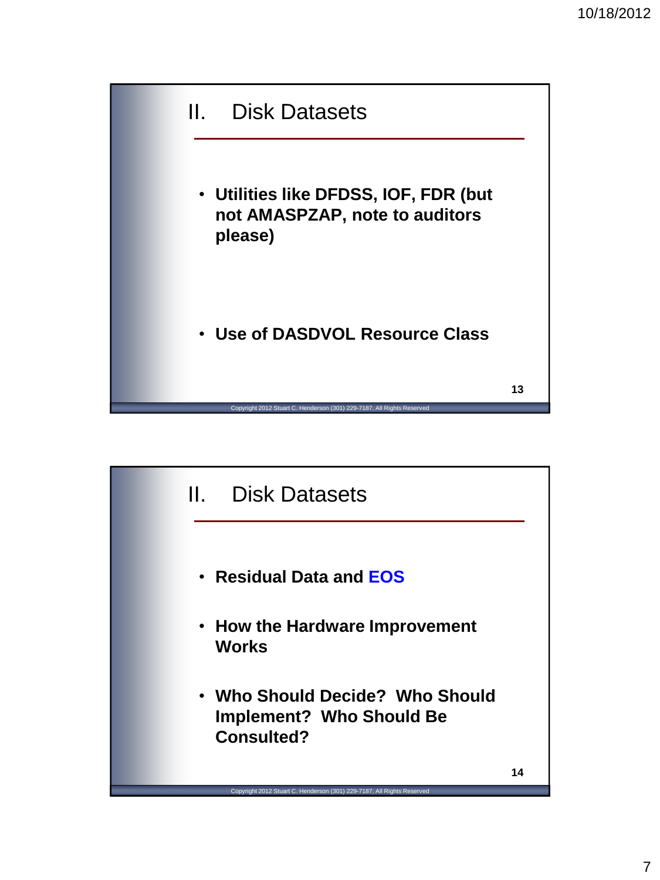

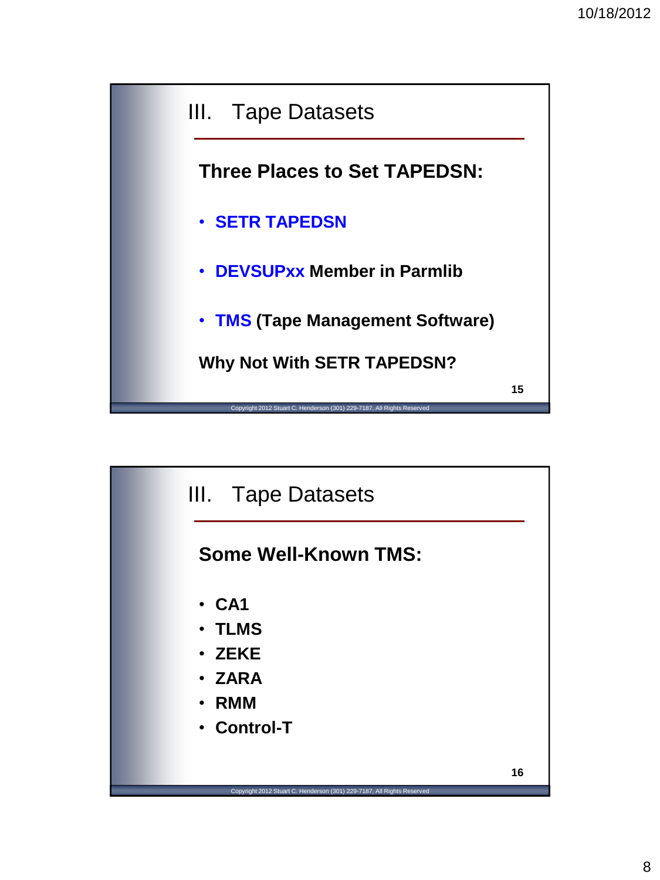

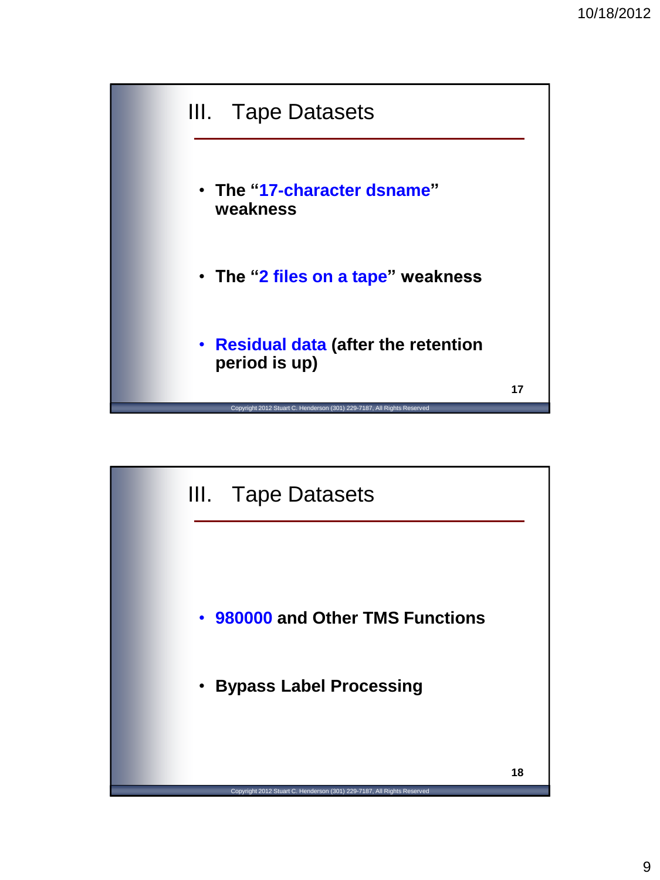

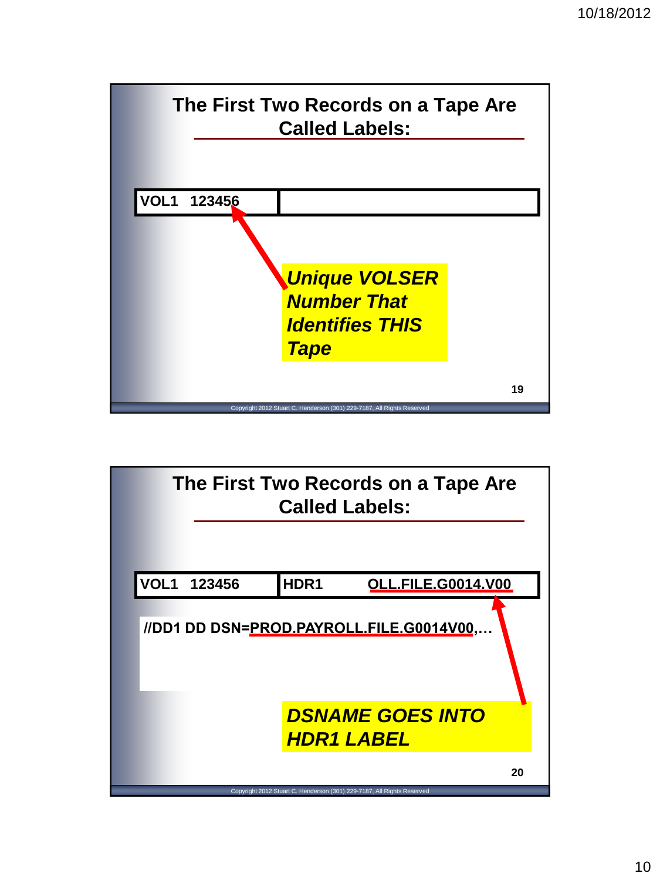

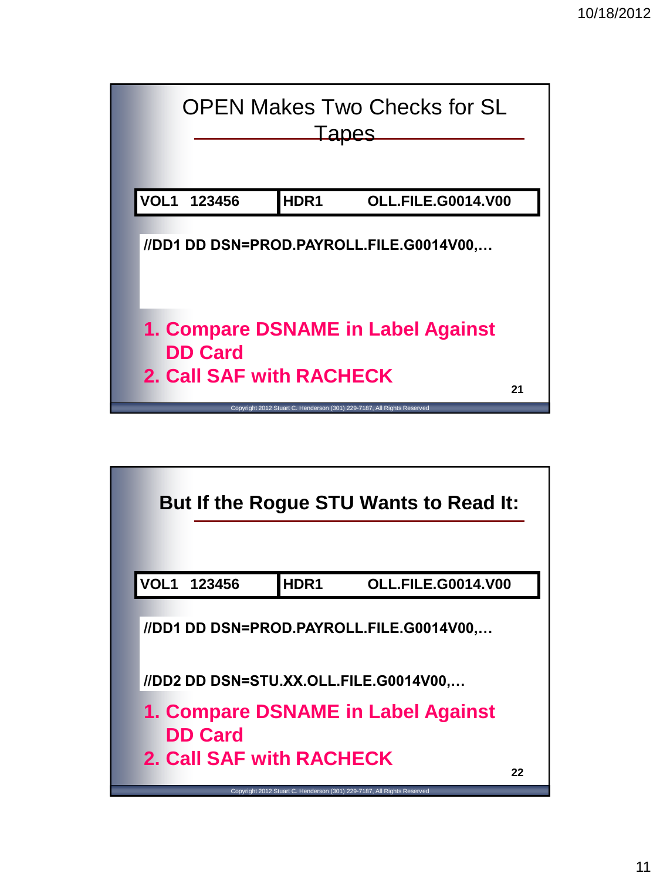

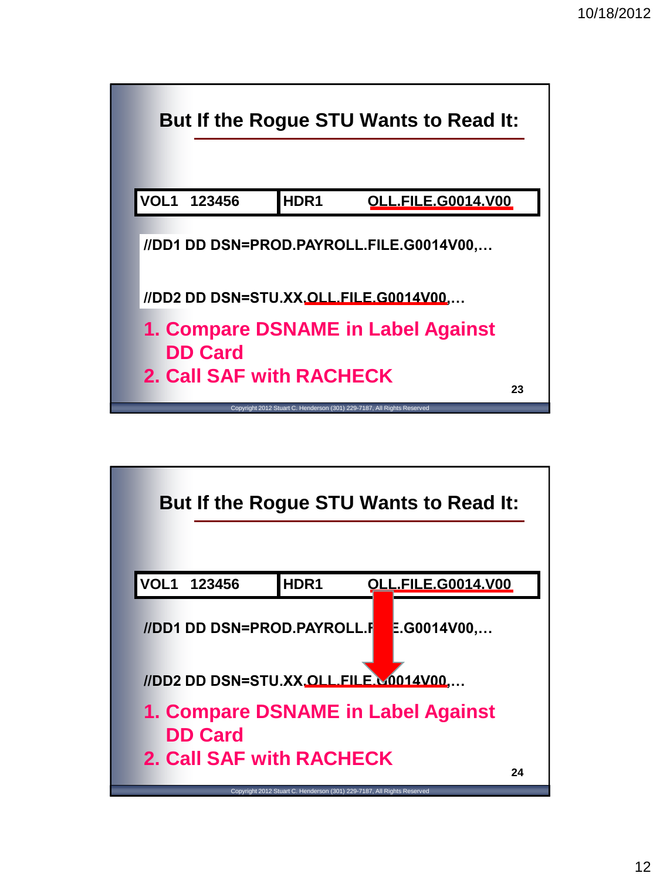

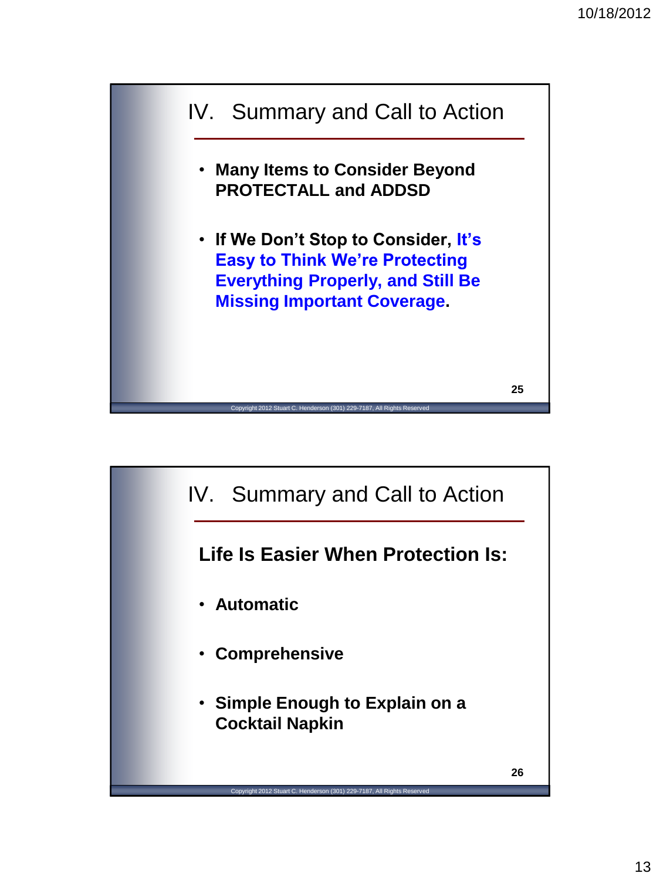

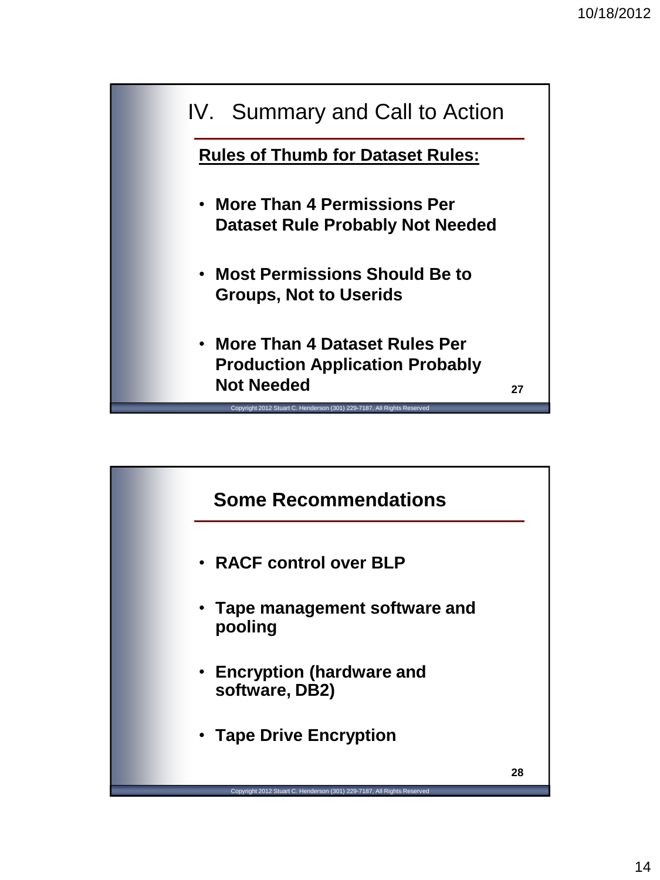

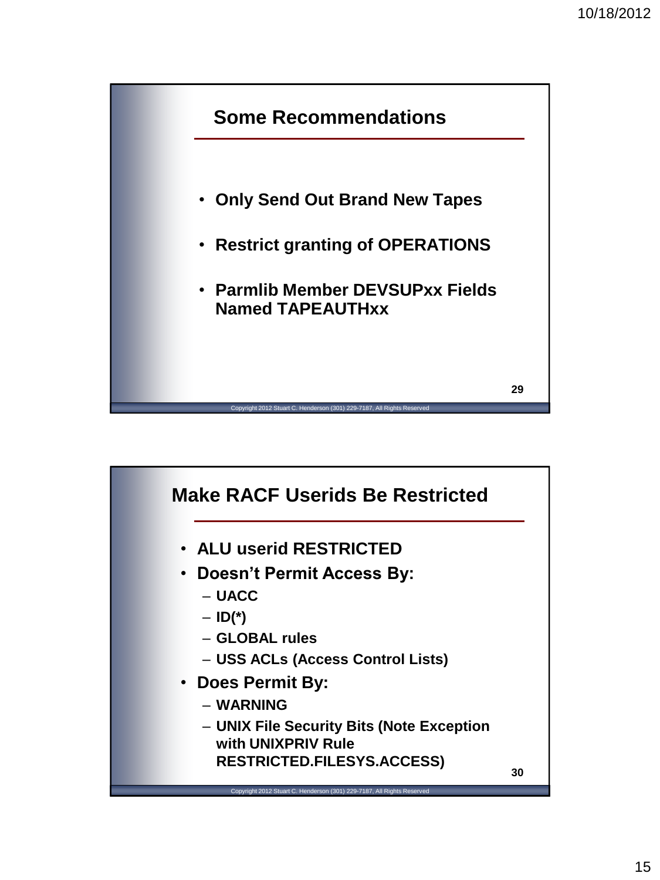